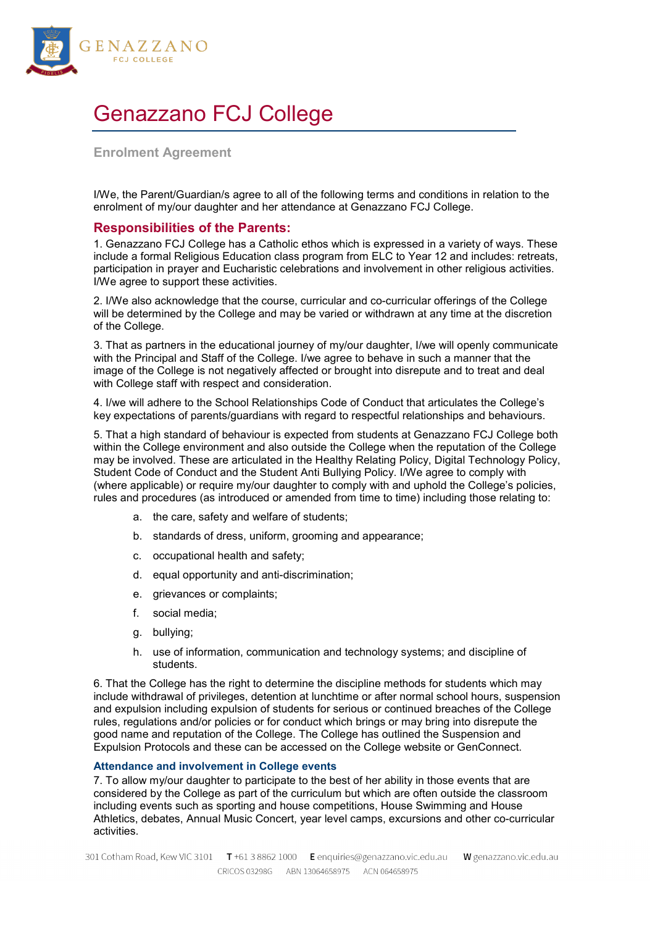

# Genazzano FCJ College

# **Enrolment Agreement**

I/We, the Parent/Guardian/s agree to all of the following terms and conditions in relation to the enrolment of my/our daughter and her attendance at Genazzano FCJ College.

# **Responsibilities of the Parents:**

1. Genazzano FCJ College has a Catholic ethos which is expressed in a variety of ways. These include a formal Religious Education class program from ELC to Year 12 and includes: retreats, participation in prayer and Eucharistic celebrations and involvement in other religious activities. I/We agree to support these activities.

2. I/We also acknowledge that the course, curricular and co-curricular offerings of the College will be determined by the College and may be varied or withdrawn at any time at the discretion of the College.

3. That as partners in the educational journey of my/our daughter, I/we will openly communicate with the Principal and Staff of the College. I/we agree to behave in such a manner that the image of the College is not negatively affected or brought into disrepute and to treat and deal with College staff with respect and consideration.

4. I/we will adhere to the School Relationships Code of Conduct that articulates the College's key expectations of parents/guardians with regard to respectful relationships and behaviours.

5. That a high standard of behaviour is expected from students at Genazzano FCJ College both within the College environment and also outside the College when the reputation of the College may be involved. These are articulated in the Healthy Relating Policy, Digital Technology Policy, Student Code of Conduct and the Student Anti Bullying Policy. I/We agree to comply with (where applicable) or require my/our daughter to comply with and uphold the College's policies, rules and procedures (as introduced or amended from time to time) including those relating to:

- a. the care, safety and welfare of students;
- b. standards of dress, uniform, grooming and appearance;
- c. occupational health and safety;
- d. equal opportunity and anti-discrimination;
- e. grievances or complaints;
- f. social media;
- g. bullying;
- h. use of information, communication and technology systems; and discipline of students.

6. That the College has the right to determine the discipline methods for students which may include withdrawal of privileges, detention at lunchtime or after normal school hours, suspension and expulsion including expulsion of students for serious or continued breaches of the College rules, regulations and/or policies or for conduct which brings or may bring into disrepute the good name and reputation of the College. The College has outlined the Suspension and Expulsion Protocols and these can be accessed on the College website or GenConnect.

#### **Attendance and involvement in College events**

7. To allow my/our daughter to participate to the best of her ability in those events that are considered by the College as part of the curriculum but which are often outside the classroom including events such as sporting and house competitions, House Swimming and House Athletics, debates, Annual Music Concert, year level camps, excursions and other co-curricular activities.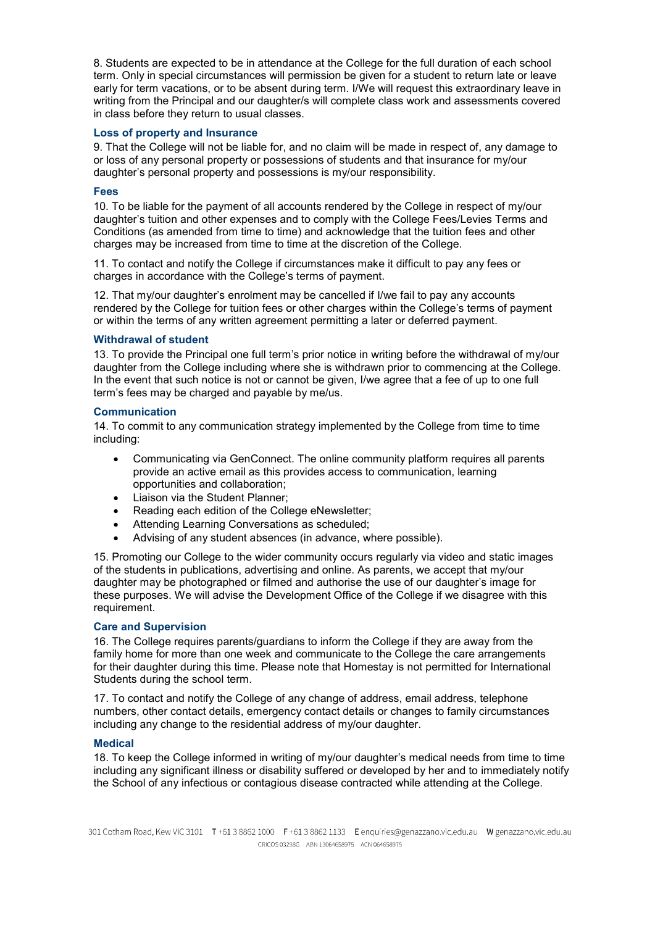8. Students are expected to be in attendance at the College for the full duration of each school term. Only in special circumstances will permission be given for a student to return late or leave early for term vacations, or to be absent during term. I/We will request this extraordinary leave in writing from the Principal and our daughter/s will complete class work and assessments covered in class before they return to usual classes.

## **Loss of property and Insurance**

9. That the College will not be liable for, and no claim will be made in respect of, any damage to or loss of any personal property or possessions of students and that insurance for my/our daughter's personal property and possessions is my/our responsibility.

## **Fees**

10. To be liable for the payment of all accounts rendered by the College in respect of my/our daughter's tuition and other expenses and to comply with the College Fees/Levies Terms and Conditions (as amended from time to time) and acknowledge that the tuition fees and other charges may be increased from time to time at the discretion of the College.

11. To contact and notify the College if circumstances make it difficult to pay any fees or charges in accordance with the College's terms of payment.

12. That my/our daughter's enrolment may be cancelled if I/we fail to pay any accounts rendered by the College for tuition fees or other charges within the College's terms of payment or within the terms of any written agreement permitting a later or deferred payment.

#### **Withdrawal of student**

13. To provide the Principal one full term's prior notice in writing before the withdrawal of my/our daughter from the College including where she is withdrawn prior to commencing at the College. In the event that such notice is not or cannot be given, I/we agree that a fee of up to one full term's fees may be charged and payable by me/us.

## **Communication**

14. To commit to any communication strategy implemented by the College from time to time including:

- Communicating via GenConnect. The online community platform requires all parents provide an active email as this provides access to communication, learning opportunities and collaboration;
- Liaison via the Student Planner;
- Reading each edition of the College eNewsletter;
- Attending Learning Conversations as scheduled;
- Advising of any student absences (in advance, where possible).

15. Promoting our College to the wider community occurs regularly via video and static images of the students in publications, advertising and online. As parents, we accept that my/our daughter may be photographed or filmed and authorise the use of our daughter's image for these purposes. We will advise the Development Office of the College if we disagree with this requirement.

#### **Care and Supervision**

16. The College requires parents/guardians to inform the College if they are away from the family home for more than one week and communicate to the College the care arrangements for their daughter during this time. Please note that Homestay is not permitted for International Students during the school term.

17. To contact and notify the College of any change of address, email address, telephone numbers, other contact details, emergency contact details or changes to family circumstances including any change to the residential address of my/our daughter.

#### **Medical**

18. To keep the College informed in writing of my/our daughter's medical needs from time to time including any significant illness or disability suffered or developed by her and to immediately notify the School of any infectious or contagious disease contracted while attending at the College.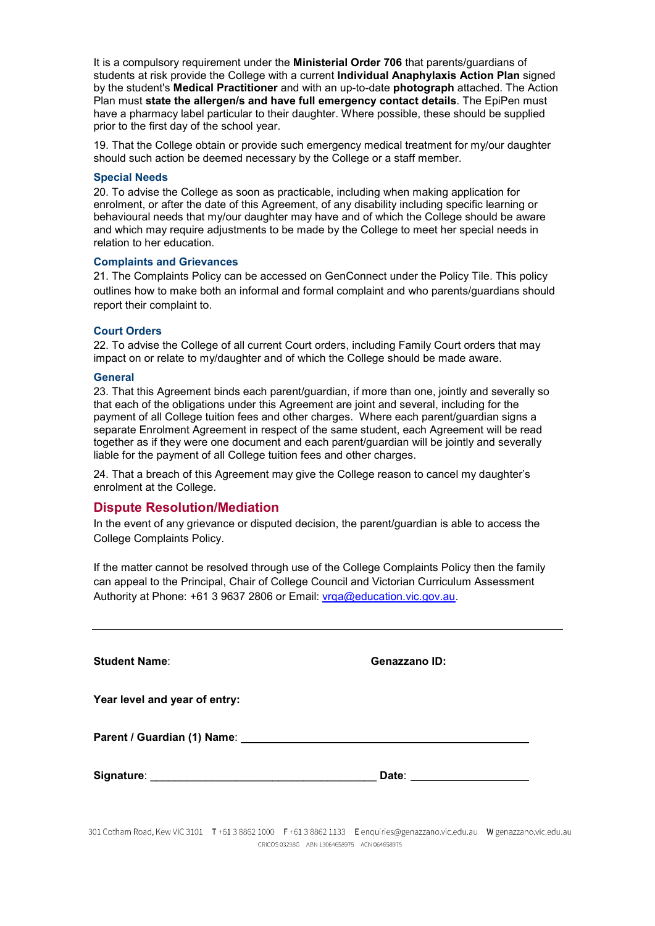It is a compulsory requirement under the **Ministerial Order 706** that parents/guardians of students at risk provide the College with a current **Individual Anaphylaxis Action Plan** signed by the student's **Medical Practitioner** and with an up-to-date **photograph** attached. The Action Plan must **state the allergen/s and have full emergency contact details**. The EpiPen must have a pharmacy label particular to their daughter. Where possible, these should be supplied prior to the first day of the school year.

19. That the College obtain or provide such emergency medical treatment for my/our daughter should such action be deemed necessary by the College or a staff member.

#### **Special Needs**

20. To advise the College as soon as practicable, including when making application for enrolment, or after the date of this Agreement, of any disability including specific learning or behavioural needs that my/our daughter may have and of which the College should be aware and which may require adjustments to be made by the College to meet her special needs in relation to her education.

#### **Complaints and Grievances**

21. The Complaints Policy can be accessed on GenConnect under the Policy Tile. This policy outlines how to make both an informal and formal complaint and who parents/guardians should report their complaint to.

### **Court Orders**

22. To advise the College of all current Court orders, including Family Court orders that may impact on or relate to my/daughter and of which the College should be made aware.

#### **General**

23. That this Agreement binds each parent/guardian, if more than one, jointly and severally so that each of the obligations under this Agreement are joint and several, including for the payment of all College tuition fees and other charges. Where each parent/guardian signs a separate Enrolment Agreement in respect of the same student, each Agreement will be read together as if they were one document and each parent/guardian will be jointly and severally liable for the payment of all College tuition fees and other charges.

24. That a breach of this Agreement may give the College reason to cancel my daughter's enrolment at the College.

# **Dispute Resolution/Mediation**

In the event of any grievance or disputed decision, the parent/guardian is able to access the College Complaints Policy.

If the matter cannot be resolved through use of the College Complaints Policy then the family can appeal to the Principal, Chair of College Council and Victorian Curriculum Assessment Authority at Phone: +61 3 9637 2806 or Email: vrga@education.vic.gov.au.

| <b>Student Name:</b>                                                                                 | Genazzano ID: |
|------------------------------------------------------------------------------------------------------|---------------|
| Year level and year of entry:                                                                        |               |
| Parent / Guardian (1) Name: 2008 2010 2020 2021 2022 2022 2023 2024 2022 2023 2024 2022 2023 2024 20 |               |
|                                                                                                      |               |

301 Cotham Road, Kew VIC 3101 T+61 3 8862 1000 F+61 3 8862 1133 E enquiries@genazzano.vic.edu.au W genazzano.vic.edu.au CRICOS 03298G ABN 13064658975 ACN 064658975